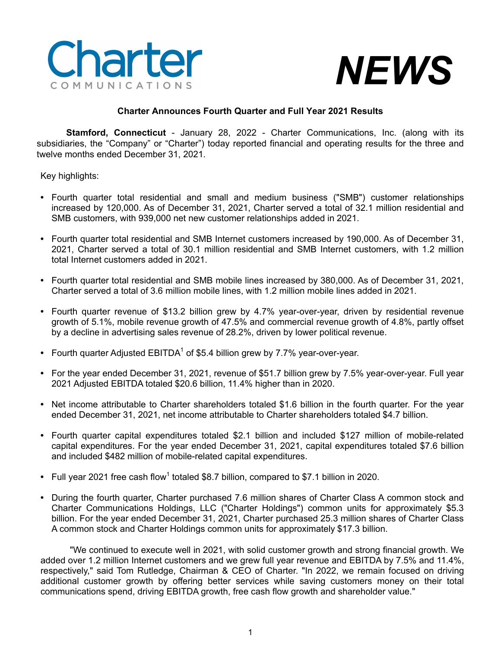



# **Charter Announces Fourth Quarter and Full Year 2021 Results**

**Stamford, Connecticut** - January 28, 2022 - Charter Communications, Inc. (along with its subsidiaries, the "Company" or "Charter") today reported financial and operating results for the three and twelve months ended December 31, 2021.

Key highlights:

- **•** Fourth quarter total residential and small and medium business ("SMB") customer relationships increased by 120,000. As of December 31, 2021, Charter served a total of 32.1 million residential and SMB customers, with 939,000 net new customer relationships added in 2021.
- **•** Fourth quarter total residential and SMB Internet customers increased by 190,000. As of December 31, 2021, Charter served a total of 30.1 million residential and SMB Internet customers, with 1.2 million total Internet customers added in 2021.
- **•** Fourth quarter total residential and SMB mobile lines increased by 380,000. As of December 31, 2021, Charter served a total of 3.6 million mobile lines, with 1.2 million mobile lines added in 2021.
- **•** Fourth quarter revenue of \$13.2 billion grew by 4.7% year-over-year, driven by residential revenue growth of 5.1%, mobile revenue growth of 47.5% and commercial revenue growth of 4.8%, partly offset by a decline in advertising sales revenue of 28.2%, driven by lower political revenue.
- Fourth quarter Adjusted EBITDA<sup>1</sup> of \$5.4 billion grew by 7.7% year-over-year.
- **•** For the year ended December 31, 2021, revenue of \$51.7 billion grew by 7.5% year-over-year. Full year 2021 Adjusted EBITDA totaled \$20.6 billion, 11.4% higher than in 2020.
- **•** Net income attributable to Charter shareholders totaled \$1.6 billion in the fourth quarter. For the year ended December 31, 2021, net income attributable to Charter shareholders totaled \$4.7 billion.
- **•** Fourth quarter capital expenditures totaled \$2.1 billion and included \$127 million of mobile-related capital expenditures. For the year ended December 31, 2021, capital expenditures totaled \$7.6 billion and included \$482 million of mobile-related capital expenditures.
- Full year 2021 free cash flow<sup>1</sup> totaled \$8.7 billion, compared to \$7.1 billion in 2020.
- **•** During the fourth quarter, Charter purchased 7.6 million shares of Charter Class A common stock and Charter Communications Holdings, LLC ("Charter Holdings") common units for approximately \$5.3 billion. For the year ended December 31, 2021, Charter purchased 25.3 million shares of Charter Class A common stock and Charter Holdings common units for approximately \$17.3 billion.

"We continued to execute well in 2021, with solid customer growth and strong financial growth. We added over 1.2 million Internet customers and we grew full year revenue and EBITDA by 7.5% and 11.4%, respectively," said Tom Rutledge, Chairman & CEO of Charter. "In 2022, we remain focused on driving additional customer growth by offering better services while saving customers money on their total communications spend, driving EBITDA growth, free cash flow growth and shareholder value."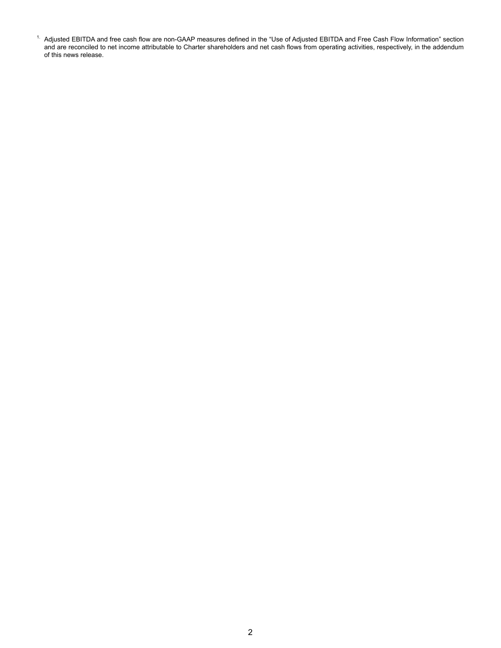$1$ . Adjusted EBITDA and free cash flow are non-GAAP measures defined in the "Use of Adjusted EBITDA and Free Cash Flow Information" section and are reconciled to net income attributable to Charter shareholders and net cash flows from operating activities, respectively, in the addendum of this news release.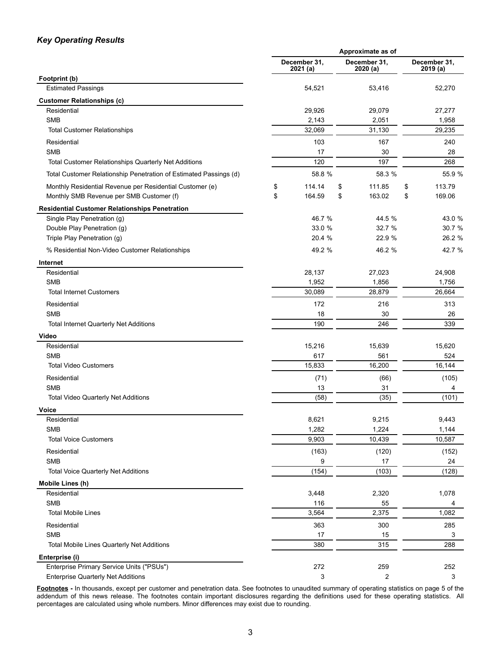# *Key Operating Results*

|                                                                   | Approximate as of |                          |                          |    |                          |  |  |
|-------------------------------------------------------------------|-------------------|--------------------------|--------------------------|----|--------------------------|--|--|
|                                                                   |                   | December 31,<br>2021 (a) | December 31,<br>2020 (a) |    | December 31,<br>2019 (a) |  |  |
| Footprint (b)                                                     |                   |                          |                          |    |                          |  |  |
| <b>Estimated Passings</b>                                         |                   | 54,521                   | 53,416                   |    | 52,270                   |  |  |
| <b>Customer Relationships (c)</b>                                 |                   |                          |                          |    |                          |  |  |
| Residential                                                       |                   | 29,926                   | 29,079                   |    | 27,277                   |  |  |
| <b>SMB</b>                                                        |                   | 2,143                    | 2,051                    |    | 1,958                    |  |  |
| <b>Total Customer Relationships</b>                               |                   | 32,069                   | 31,130                   |    | 29,235                   |  |  |
| Residential                                                       |                   | 103                      | 167                      |    | 240                      |  |  |
| <b>SMB</b>                                                        |                   | 17                       | 30                       |    | 28                       |  |  |
| <b>Total Customer Relationships Quarterly Net Additions</b>       |                   | 120                      | 197                      |    | 268                      |  |  |
| Total Customer Relationship Penetration of Estimated Passings (d) |                   | 58.8 %                   | 58.3 %                   |    | 55.9 %                   |  |  |
| Monthly Residential Revenue per Residential Customer (e)          | \$                | 114.14                   | \$<br>111.85             | \$ | 113.79                   |  |  |
| Monthly SMB Revenue per SMB Customer (f)                          | \$                | 164.59                   | 163.02<br>\$             | \$ | 169.06                   |  |  |
| <b>Residential Customer Relationships Penetration</b>             |                   |                          |                          |    |                          |  |  |
| Single Play Penetration (g)                                       |                   | 46.7 %                   | 44.5 %                   |    | 43.0 %                   |  |  |
| Double Play Penetration (g)                                       |                   | 33.0 %                   | 32.7 %                   |    | 30.7 %                   |  |  |
| Triple Play Penetration (g)                                       |                   | 20.4 %                   | 22.9 %                   |    | 26.2 %                   |  |  |
| % Residential Non-Video Customer Relationships                    |                   | 49.2 %                   | 46.2 %                   |    | 42.7 %                   |  |  |
| Internet                                                          |                   |                          |                          |    |                          |  |  |
| Residential                                                       |                   | 28,137                   | 27,023                   |    | 24,908                   |  |  |
| <b>SMB</b>                                                        |                   | 1,952                    | 1,856                    |    | 1,756                    |  |  |
| <b>Total Internet Customers</b>                                   |                   | 30,089                   | 28,879                   |    | 26,664                   |  |  |
| Residential                                                       |                   | 172                      | 216                      |    | 313                      |  |  |
| <b>SMB</b>                                                        |                   | 18                       | 30                       |    | 26                       |  |  |
| <b>Total Internet Quarterly Net Additions</b>                     |                   | 190                      | 246                      |    | 339                      |  |  |
| Video                                                             |                   |                          |                          |    |                          |  |  |
| Residential                                                       |                   | 15,216                   | 15,639                   |    | 15,620                   |  |  |
| <b>SMB</b>                                                        |                   | 617                      | 561                      |    | 524                      |  |  |
| <b>Total Video Customers</b>                                      |                   | 15,833                   | 16,200                   |    | 16,144                   |  |  |
| Residential                                                       |                   | (71)                     | (66)                     |    | (105)                    |  |  |
| <b>SMB</b>                                                        |                   | 13                       | 31                       |    | 4                        |  |  |
| <b>Total Video Quarterly Net Additions</b>                        |                   | (58)                     | (35)                     |    | (101)                    |  |  |
| Voice                                                             |                   |                          |                          |    |                          |  |  |
| Residential                                                       |                   | 8,621                    | 9,215                    |    | 9,443                    |  |  |
| <b>SMB</b>                                                        |                   | 1,282                    | 1,224                    |    | 1,144                    |  |  |
| <b>Total Voice Customers</b>                                      |                   | 9,903                    | 10,439                   |    | 10,587                   |  |  |
| Residential                                                       |                   | (163)                    | (120)                    |    | (152)                    |  |  |
| <b>SMB</b>                                                        |                   | 9                        | 17                       |    | 24                       |  |  |
| <b>Total Voice Quarterly Net Additions</b>                        |                   | (154)                    | (103)                    |    | (128)                    |  |  |
| Mobile Lines (h)                                                  |                   |                          |                          |    |                          |  |  |
| Residential                                                       |                   | 3,448                    | 2,320                    |    | 1,078                    |  |  |
| <b>SMB</b>                                                        |                   | 116                      | 55                       |    | 4                        |  |  |
| <b>Total Mobile Lines</b>                                         |                   | 3,564                    | 2,375                    |    | 1,082                    |  |  |
| Residential                                                       |                   | 363                      | 300                      |    | 285                      |  |  |
| <b>SMB</b>                                                        |                   | 17                       | 15                       |    | 3                        |  |  |
| Total Mobile Lines Quarterly Net Additions                        |                   | 380                      | 315                      |    | 288                      |  |  |
| Enterprise (i)                                                    |                   |                          |                          |    |                          |  |  |
| Enterprise Primary Service Units ("PSUs")                         |                   | 272                      | 259                      |    | 252                      |  |  |
| <b>Enterprise Quarterly Net Additions</b>                         |                   | 3                        | 2                        |    | 3                        |  |  |

**Footnotes -** In thousands, except per customer and penetration data. See footnotes to unaudited summary of operating statistics on page 5 of the addendum of this news release. The footnotes contain important disclosures regarding the definitions used for these operating statistics. All percentages are calculated using whole numbers. Minor differences may exist due to rounding.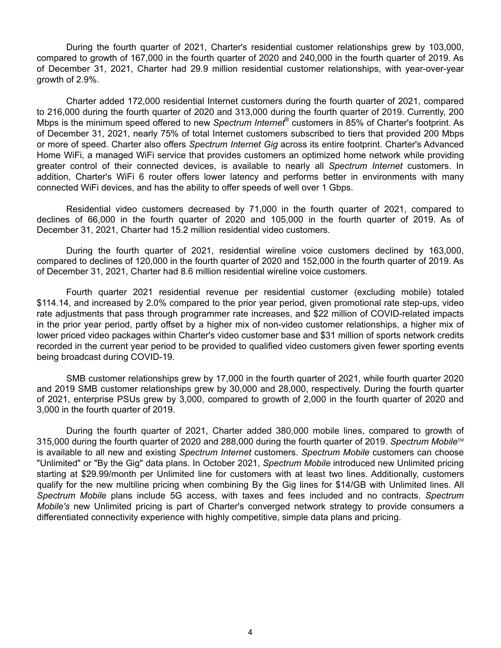During the fourth quarter of 2021, Charter's residential customer relationships grew by 103,000, compared to growth of 167,000 in the fourth quarter of 2020 and 240,000 in the fourth quarter of 2019. As of December 31, 2021, Charter had 29.9 million residential customer relationships, with year-over-year growth of 2.9%.

Charter added 172,000 residential Internet customers during the fourth quarter of 2021, compared to 216,000 during the fourth quarter of 2020 and 313,000 during the fourth quarter of 2019. Currently, 200 Mbps is the minimum speed offered to new *Spectrum Internet*® customers in 85% of Charter's footprint. As of December 31, 2021, nearly 75% of total Internet customers subscribed to tiers that provided 200 Mbps or more of speed. Charter also offers *Spectrum Internet Gig* across its entire footprint. Charter's Advanced Home WiFi, a managed WiFi service that provides customers an optimized home network while providing greater control of their connected devices, is available to nearly all *Spectrum Internet* customers. In addition, Charter's WiFi 6 router offers lower latency and performs better in environments with many connected WiFi devices, and has the ability to offer speeds of well over 1 Gbps.

Residential video customers decreased by 71,000 in the fourth quarter of 2021, compared to declines of 66,000 in the fourth quarter of 2020 and 105,000 in the fourth quarter of 2019. As of December 31, 2021, Charter had 15.2 million residential video customers.

During the fourth quarter of 2021, residential wireline voice customers declined by 163,000, compared to declines of 120,000 in the fourth quarter of 2020 and 152,000 in the fourth quarter of 2019. As of December 31, 2021, Charter had 8.6 million residential wireline voice customers.

Fourth quarter 2021 residential revenue per residential customer (excluding mobile) totaled \$114.14, and increased by 2.0% compared to the prior year period, given promotional rate step-ups, video rate adjustments that pass through programmer rate increases, and \$22 million of COVID-related impacts in the prior year period, partly offset by a higher mix of non-video customer relationships, a higher mix of lower priced video packages within Charter's video customer base and \$31 million of sports network credits recorded in the current year period to be provided to qualified video customers given fewer sporting events being broadcast during COVID-19.

SMB customer relationships grew by 17,000 in the fourth quarter of 2021, while fourth quarter 2020 and 2019 SMB customer relationships grew by 30,000 and 28,000, respectively. During the fourth quarter of 2021, enterprise PSUs grew by 3,000, compared to growth of 2,000 in the fourth quarter of 2020 and 3,000 in the fourth quarter of 2019.

During the fourth quarter of 2021, Charter added 380,000 mobile lines, compared to growth of 315,000 during the fourth quarter of 2020 and 288,000 during the fourth quarter of 2019. *Spectrum Mobile*TM is available to all new and existing *Spectrum Internet* customers. *Spectrum Mobile* customers can choose "Unlimited" or "By the Gig" data plans. In October 2021, *Spectrum Mobile* introduced new Unlimited pricing starting at \$29.99/month per Unlimited line for customers with at least two lines. Additionally, customers qualify for the new multiline pricing when combining By the Gig lines for \$14/GB with Unlimited lines. All *Spectrum Mobile* plans include 5G access, with taxes and fees included and no contracts. *Spectrum Mobile's* new Unlimited pricing is part of Charter's converged network strategy to provide consumers a differentiated connectivity experience with highly competitive, simple data plans and pricing.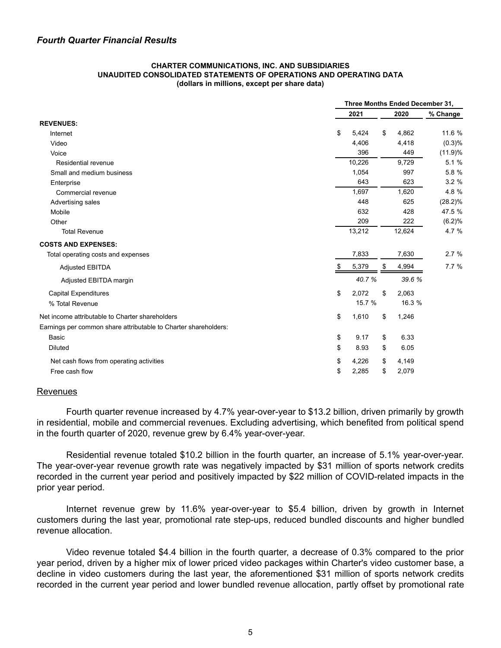#### **CHARTER COMMUNICATIONS, INC. AND SUBSIDIARIES UNAUDITED CONSOLIDATED STATEMENTS OF OPERATIONS AND OPERATING DATA (dollars in millions, except per share data)**

|                                                                 | Three Months Ended December 31, |    |        |            |  |  |
|-----------------------------------------------------------------|---------------------------------|----|--------|------------|--|--|
|                                                                 | 2021                            |    | 2020   | % Change   |  |  |
| <b>REVENUES:</b>                                                |                                 |    |        |            |  |  |
| Internet                                                        | \$<br>5,424                     | \$ | 4,862  | 11.6 %     |  |  |
| Video                                                           | 4,406                           |    | 4,418  | (0.3)%     |  |  |
| Voice                                                           | 396                             |    | 449    | (11.9)%    |  |  |
| Residential revenue                                             | 10,226                          |    | 9.729  | 5.1%       |  |  |
| Small and medium business                                       | 1,054                           |    | 997    | 5.8 %      |  |  |
| Enterprise                                                      | 643                             |    | 623    | 3.2%       |  |  |
| Commercial revenue                                              | 1,697                           |    | 1,620  | 4.8%       |  |  |
| Advertising sales                                               | 448                             |    | 625    | $(28.2)\%$ |  |  |
| Mobile                                                          | 632                             |    | 428    | 47.5 %     |  |  |
| Other                                                           | 209                             |    | 222    | (6.2)%     |  |  |
| <b>Total Revenue</b>                                            | 13,212                          |    | 12,624 | 4.7 %      |  |  |
| <b>COSTS AND EXPENSES:</b>                                      |                                 |    |        |            |  |  |
| Total operating costs and expenses                              | 7,833                           |    | 7,630  | 2.7%       |  |  |
| <b>Adjusted EBITDA</b>                                          | \$<br>5,379                     | \$ | 4,994  | 7.7%       |  |  |
| Adjusted EBITDA margin                                          | 40.7%                           |    | 39.6 % |            |  |  |
| <b>Capital Expenditures</b>                                     | \$<br>2,072                     | \$ | 2,063  |            |  |  |
| % Total Revenue                                                 | 15.7 %                          |    | 16.3 % |            |  |  |
| Net income attributable to Charter shareholders                 | \$<br>1,610                     | \$ | 1,246  |            |  |  |
| Earnings per common share attributable to Charter shareholders: |                                 |    |        |            |  |  |
| Basic                                                           | \$<br>9.17                      | \$ | 6.33   |            |  |  |
| <b>Diluted</b>                                                  | \$<br>8.93                      | \$ | 6.05   |            |  |  |
| Net cash flows from operating activities                        | \$<br>4,226                     | \$ | 4,149  |            |  |  |
| Free cash flow                                                  | \$<br>2,285                     | \$ | 2,079  |            |  |  |

### **Revenues**

Fourth quarter revenue increased by 4.7% year-over-year to \$13.2 billion, driven primarily by growth in residential, mobile and commercial revenues. Excluding advertising, which benefited from political spend in the fourth quarter of 2020, revenue grew by 6.4% year-over-year.

Residential revenue totaled \$10.2 billion in the fourth quarter, an increase of 5.1% year-over-year. The year-over-year revenue growth rate was negatively impacted by \$31 million of sports network credits recorded in the current year period and positively impacted by \$22 million of COVID-related impacts in the prior year period.

Internet revenue grew by 11.6% year-over-year to \$5.4 billion, driven by growth in Internet customers during the last year, promotional rate step-ups, reduced bundled discounts and higher bundled revenue allocation.

Video revenue totaled \$4.4 billion in the fourth quarter, a decrease of 0.3% compared to the prior year period, driven by a higher mix of lower priced video packages within Charter's video customer base, a decline in video customers during the last year, the aforementioned \$31 million of sports network credits recorded in the current year period and lower bundled revenue allocation, partly offset by promotional rate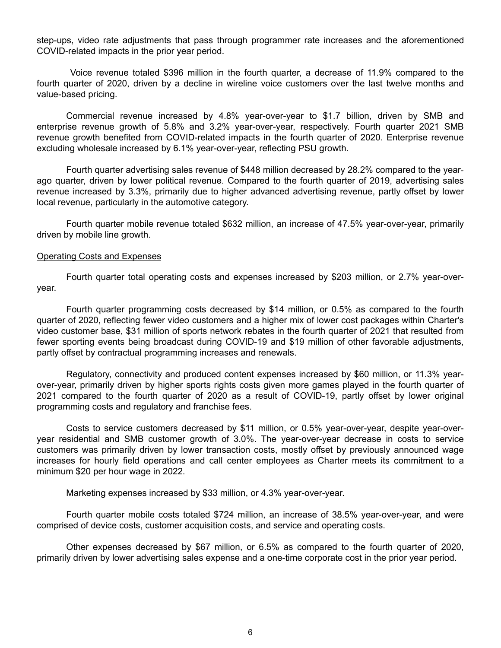step-ups, video rate adjustments that pass through programmer rate increases and the aforementioned COVID-related impacts in the prior year period.

 Voice revenue totaled \$396 million in the fourth quarter, a decrease of 11.9% compared to the fourth quarter of 2020, driven by a decline in wireline voice customers over the last twelve months and value-based pricing.

Commercial revenue increased by 4.8% year-over-year to \$1.7 billion, driven by SMB and enterprise revenue growth of 5.8% and 3.2% year-over-year, respectively. Fourth quarter 2021 SMB revenue growth benefited from COVID-related impacts in the fourth quarter of 2020. Enterprise revenue excluding wholesale increased by 6.1% year-over-year, reflecting PSU growth.

Fourth quarter advertising sales revenue of \$448 million decreased by 28.2% compared to the yearago quarter, driven by lower political revenue. Compared to the fourth quarter of 2019, advertising sales revenue increased by 3.3%, primarily due to higher advanced advertising revenue, partly offset by lower local revenue, particularly in the automotive category.

Fourth quarter mobile revenue totaled \$632 million, an increase of 47.5% year-over-year, primarily driven by mobile line growth.

## Operating Costs and Expenses

Fourth quarter total operating costs and expenses increased by \$203 million, or 2.7% year-overyear.

Fourth quarter programming costs decreased by \$14 million, or 0.5% as compared to the fourth quarter of 2020, reflecting fewer video customers and a higher mix of lower cost packages within Charter's video customer base, \$31 million of sports network rebates in the fourth quarter of 2021 that resulted from fewer sporting events being broadcast during COVID-19 and \$19 million of other favorable adjustments, partly offset by contractual programming increases and renewals.

Regulatory, connectivity and produced content expenses increased by \$60 million, or 11.3% yearover-year, primarily driven by higher sports rights costs given more games played in the fourth quarter of 2021 compared to the fourth quarter of 2020 as a result of COVID-19, partly offset by lower original programming costs and regulatory and franchise fees.

Costs to service customers decreased by \$11 million, or 0.5% year-over-year, despite year-overyear residential and SMB customer growth of 3.0%. The year-over-year decrease in costs to service customers was primarily driven by lower transaction costs, mostly offset by previously announced wage increases for hourly field operations and call center employees as Charter meets its commitment to a minimum \$20 per hour wage in 2022.

Marketing expenses increased by \$33 million, or 4.3% year-over-year.

Fourth quarter mobile costs totaled \$724 million, an increase of 38.5% year-over-year, and were comprised of device costs, customer acquisition costs, and service and operating costs.

Other expenses decreased by \$67 million, or 6.5% as compared to the fourth quarter of 2020, primarily driven by lower advertising sales expense and a one-time corporate cost in the prior year period.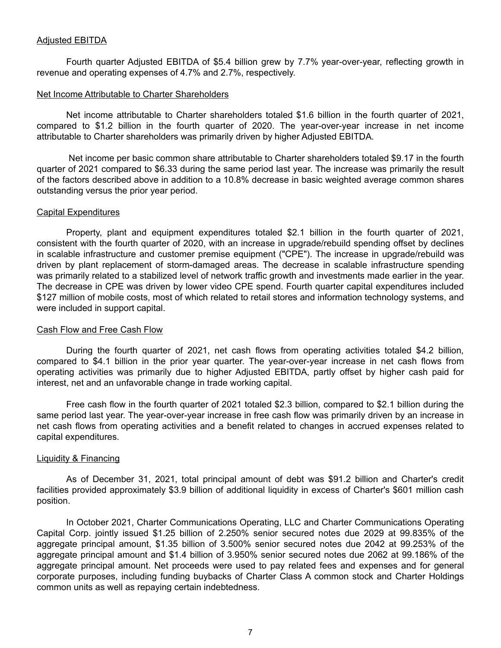Fourth quarter Adjusted EBITDA of \$5.4 billion grew by 7.7% year-over-year, reflecting growth in revenue and operating expenses of 4.7% and 2.7%, respectively.

## Net Income Attributable to Charter Shareholders

Net income attributable to Charter shareholders totaled \$1.6 billion in the fourth quarter of 2021, compared to \$1.2 billion in the fourth quarter of 2020. The year-over-year increase in net income attributable to Charter shareholders was primarily driven by higher Adjusted EBITDA.

 Net income per basic common share attributable to Charter shareholders totaled \$9.17 in the fourth quarter of 2021 compared to \$6.33 during the same period last year. The increase was primarily the result of the factors described above in addition to a 10.8% decrease in basic weighted average common shares outstanding versus the prior year period.

# Capital Expenditures

Property, plant and equipment expenditures totaled \$2.1 billion in the fourth quarter of 2021, consistent with the fourth quarter of 2020, with an increase in upgrade/rebuild spending offset by declines in scalable infrastructure and customer premise equipment ("CPE"). The increase in upgrade/rebuild was driven by plant replacement of storm-damaged areas. The decrease in scalable infrastructure spending was primarily related to a stabilized level of network traffic growth and investments made earlier in the year. The decrease in CPE was driven by lower video CPE spend. Fourth quarter capital expenditures included \$127 million of mobile costs, most of which related to retail stores and information technology systems, and were included in support capital.

# Cash Flow and Free Cash Flow

During the fourth quarter of 2021, net cash flows from operating activities totaled \$4.2 billion, compared to \$4.1 billion in the prior year quarter. The year-over-year increase in net cash flows from operating activities was primarily due to higher Adjusted EBITDA, partly offset by higher cash paid for interest, net and an unfavorable change in trade working capital.

Free cash flow in the fourth quarter of 2021 totaled \$2.3 billion, compared to \$2.1 billion during the same period last year. The year-over-year increase in free cash flow was primarily driven by an increase in net cash flows from operating activities and a benefit related to changes in accrued expenses related to capital expenditures.

# Liquidity & Financing

As of December 31, 2021, total principal amount of debt was \$91.2 billion and Charter's credit facilities provided approximately \$3.9 billion of additional liquidity in excess of Charter's \$601 million cash position.

In October 2021, Charter Communications Operating, LLC and Charter Communications Operating Capital Corp. jointly issued \$1.25 billion of 2.250% senior secured notes due 2029 at 99.835% of the aggregate principal amount, \$1.35 billion of 3.500% senior secured notes due 2042 at 99.253% of the aggregate principal amount and \$1.4 billion of 3.950% senior secured notes due 2062 at 99.186% of the aggregate principal amount. Net proceeds were used to pay related fees and expenses and for general corporate purposes, including funding buybacks of Charter Class A common stock and Charter Holdings common units as well as repaying certain indebtedness.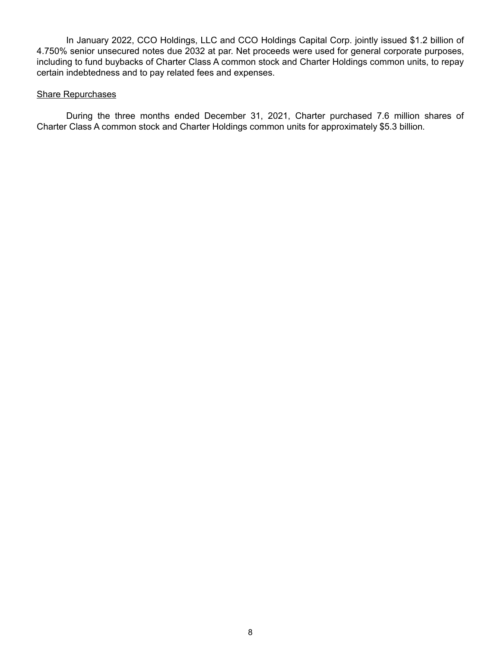In January 2022, CCO Holdings, LLC and CCO Holdings Capital Corp. jointly issued \$1.2 billion of 4.750% senior unsecured notes due 2032 at par. Net proceeds were used for general corporate purposes, including to fund buybacks of Charter Class A common stock and Charter Holdings common units, to repay certain indebtedness and to pay related fees and expenses.

# Share Repurchases

During the three months ended December 31, 2021, Charter purchased 7.6 million shares of Charter Class A common stock and Charter Holdings common units for approximately \$5.3 billion.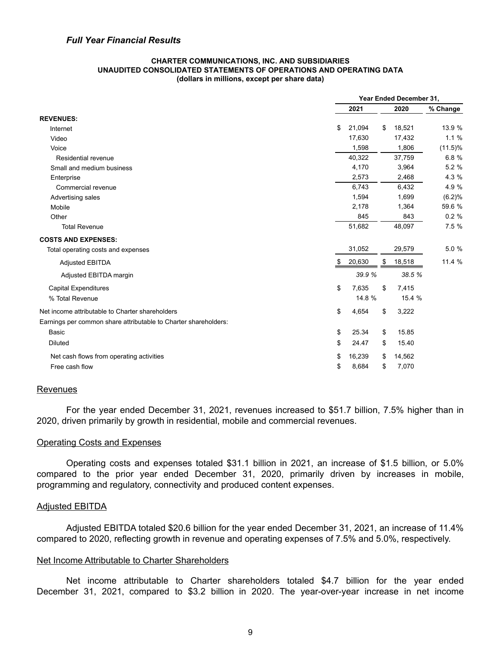#### **CHARTER COMMUNICATIONS, INC. AND SUBSIDIARIES UNAUDITED CONSOLIDATED STATEMENTS OF OPERATIONS AND OPERATING DATA (dollars in millions, except per share data)**

|                                                                 | Year Ended December 31, |    |        |            |  |
|-----------------------------------------------------------------|-------------------------|----|--------|------------|--|
|                                                                 | 2021                    |    | 2020   | % Change   |  |
| <b>REVENUES:</b>                                                |                         |    |        |            |  |
| Internet                                                        | \$<br>21,094            | \$ | 18,521 | 13.9 %     |  |
| Video                                                           | 17,630                  |    | 17,432 | 1.1%       |  |
| Voice                                                           | 1,598                   |    | 1,806  | $(11.5)\%$ |  |
| Residential revenue                                             | 40,322                  |    | 37,759 | 6.8 %      |  |
| Small and medium business                                       | 4,170                   |    | 3,964  | 5.2 %      |  |
| Enterprise                                                      | 2,573                   |    | 2,468  | 4.3 %      |  |
| Commercial revenue                                              | 6,743                   |    | 6,432  | 4.9 %      |  |
| Advertising sales                                               | 1,594                   |    | 1,699  | (6.2)%     |  |
| Mobile                                                          | 2,178                   |    | 1,364  | 59.6 %     |  |
| Other                                                           | 845                     |    | 843    | 0.2%       |  |
| <b>Total Revenue</b>                                            | 51,682                  |    | 48,097 | 7.5 %      |  |
| <b>COSTS AND EXPENSES:</b>                                      |                         |    |        |            |  |
| Total operating costs and expenses                              | 31,052                  |    | 29,579 | 5.0 %      |  |
| <b>Adjusted EBITDA</b>                                          | \$<br>20,630            | \$ | 18,518 | 11.4 %     |  |
| Adjusted EBITDA margin                                          | 39.9 %                  |    | 38.5 % |            |  |
| <b>Capital Expenditures</b>                                     | \$<br>7,635             | \$ | 7,415  |            |  |
| % Total Revenue                                                 | 14.8 %                  |    | 15.4 % |            |  |
| Net income attributable to Charter shareholders                 | \$<br>4,654             | \$ | 3,222  |            |  |
| Earnings per common share attributable to Charter shareholders: |                         |    |        |            |  |
| Basic                                                           | \$<br>25.34             | \$ | 15.85  |            |  |
| <b>Diluted</b>                                                  | \$<br>24.47             | \$ | 15.40  |            |  |
| Net cash flows from operating activities                        | \$<br>16,239            | \$ | 14,562 |            |  |
| Free cash flow                                                  | \$<br>8,684             | \$ | 7,070  |            |  |

# Revenues

For the year ended December 31, 2021, revenues increased to \$51.7 billion, 7.5% higher than in 2020, driven primarily by growth in residential, mobile and commercial revenues.

# Operating Costs and Expenses

Operating costs and expenses totaled \$31.1 billion in 2021, an increase of \$1.5 billion, or 5.0% compared to the prior year ended December 31, 2020, primarily driven by increases in mobile, programming and regulatory, connectivity and produced content expenses.

### Adjusted EBITDA

Adjusted EBITDA totaled \$20.6 billion for the year ended December 31, 2021, an increase of 11.4% compared to 2020, reflecting growth in revenue and operating expenses of 7.5% and 5.0%, respectively.

### Net Income Attributable to Charter Shareholders

Net income attributable to Charter shareholders totaled \$4.7 billion for the year ended December 31, 2021, compared to \$3.2 billion in 2020. The year-over-year increase in net income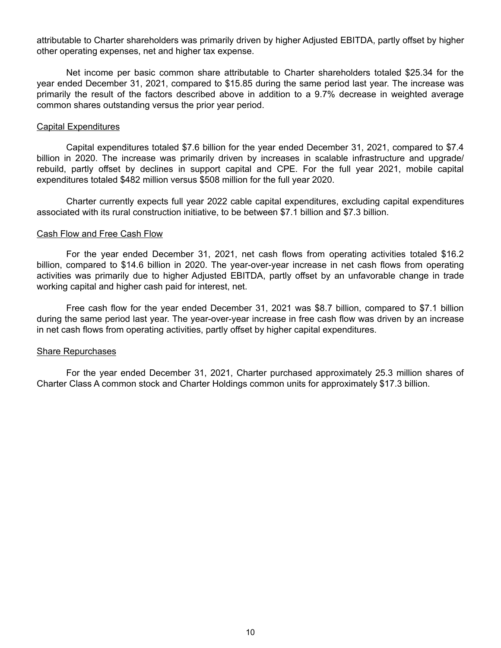attributable to Charter shareholders was primarily driven by higher Adjusted EBITDA, partly offset by higher other operating expenses, net and higher tax expense.

Net income per basic common share attributable to Charter shareholders totaled \$25.34 for the year ended December 31, 2021, compared to \$15.85 during the same period last year. The increase was primarily the result of the factors described above in addition to a 9.7% decrease in weighted average common shares outstanding versus the prior year period.

### Capital Expenditures

Capital expenditures totaled \$7.6 billion for the year ended December 31, 2021, compared to \$7.4 billion in 2020. The increase was primarily driven by increases in scalable infrastructure and upgrade/ rebuild, partly offset by declines in support capital and CPE. For the full year 2021, mobile capital expenditures totaled \$482 million versus \$508 million for the full year 2020.

Charter currently expects full year 2022 cable capital expenditures, excluding capital expenditures associated with its rural construction initiative, to be between \$7.1 billion and \$7.3 billion.

## Cash Flow and Free Cash Flow

For the year ended December 31, 2021, net cash flows from operating activities totaled \$16.2 billion, compared to \$14.6 billion in 2020. The year-over-year increase in net cash flows from operating activities was primarily due to higher Adjusted EBITDA, partly offset by an unfavorable change in trade working capital and higher cash paid for interest, net.

Free cash flow for the year ended December 31, 2021 was \$8.7 billion, compared to \$7.1 billion during the same period last year. The year-over-year increase in free cash flow was driven by an increase in net cash flows from operating activities, partly offset by higher capital expenditures.

# Share Repurchases

For the year ended December 31, 2021, Charter purchased approximately 25.3 million shares of Charter Class A common stock and Charter Holdings common units for approximately \$17.3 billion.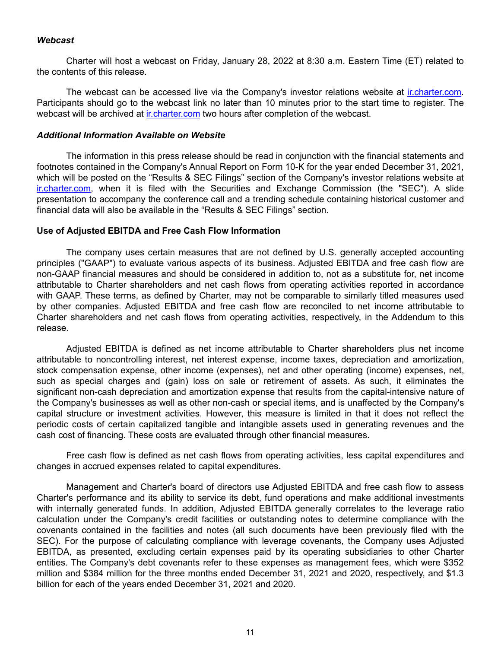# *Webcast*

Charter will host a webcast on Friday, January 28, 2022 at 8:30 a.m. Eastern Time (ET) related to the contents of this release.

The webcast can be accessed live via the Company's investor relations website at ir.charter.com. Participants should go to the webcast link no later than 10 minutes prior to the start time to register. The webcast will be archived at ir.charter.com two hours after completion of the webcast.

# *Additional Information Available on Website*

The information in this press release should be read in conjunction with the financial statements and footnotes contained in the Company's Annual Report on Form 10-K for the year ended December 31, 2021, which will be posted on the "Results & SEC Filings" section of the Company's investor relations website at ir.charter.com, when it is filed with the Securities and Exchange Commission (the "SEC"). A slide presentation to accompany the conference call and a trending schedule containing historical customer and financial data will also be available in the "Results & SEC Filings" section.

## **Use of Adjusted EBITDA and Free Cash Flow Information**

The company uses certain measures that are not defined by U.S. generally accepted accounting principles ("GAAP") to evaluate various aspects of its business. Adjusted EBITDA and free cash flow are non-GAAP financial measures and should be considered in addition to, not as a substitute for, net income attributable to Charter shareholders and net cash flows from operating activities reported in accordance with GAAP. These terms, as defined by Charter, may not be comparable to similarly titled measures used by other companies. Adjusted EBITDA and free cash flow are reconciled to net income attributable to Charter shareholders and net cash flows from operating activities, respectively, in the Addendum to this release.

Adjusted EBITDA is defined as net income attributable to Charter shareholders plus net income attributable to noncontrolling interest, net interest expense, income taxes, depreciation and amortization, stock compensation expense, other income (expenses), net and other operating (income) expenses, net, such as special charges and (gain) loss on sale or retirement of assets. As such, it eliminates the significant non-cash depreciation and amortization expense that results from the capital-intensive nature of the Company's businesses as well as other non-cash or special items, and is unaffected by the Company's capital structure or investment activities. However, this measure is limited in that it does not reflect the periodic costs of certain capitalized tangible and intangible assets used in generating revenues and the cash cost of financing. These costs are evaluated through other financial measures.

Free cash flow is defined as net cash flows from operating activities, less capital expenditures and changes in accrued expenses related to capital expenditures.

Management and Charter's board of directors use Adjusted EBITDA and free cash flow to assess Charter's performance and its ability to service its debt, fund operations and make additional investments with internally generated funds. In addition, Adjusted EBITDA generally correlates to the leverage ratio calculation under the Company's credit facilities or outstanding notes to determine compliance with the covenants contained in the facilities and notes (all such documents have been previously filed with the SEC). For the purpose of calculating compliance with leverage covenants, the Company uses Adjusted EBITDA, as presented, excluding certain expenses paid by its operating subsidiaries to other Charter entities. The Company's debt covenants refer to these expenses as management fees, which were \$352 million and \$384 million for the three months ended December 31, 2021 and 2020, respectively, and \$1.3 billion for each of the years ended December 31, 2021 and 2020.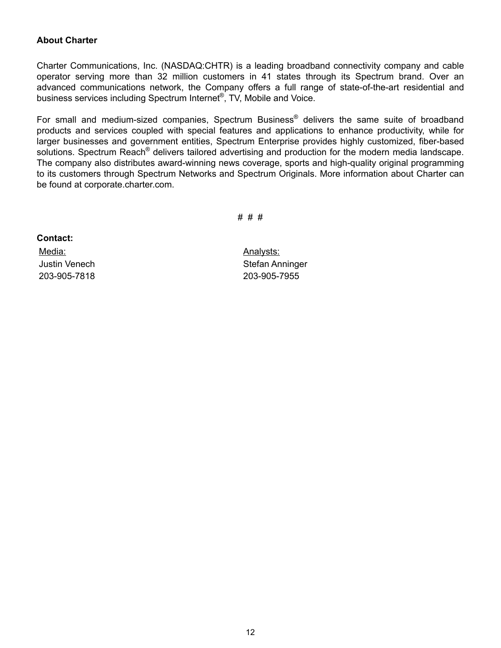# **About Charter**

Charter Communications, Inc. (NASDAQ:CHTR) is a leading broadband connectivity company and cable operator serving more than 32 million customers in 41 states through its Spectrum brand. Over an advanced communications network, the Company offers a full range of state-of-the-art residential and business services including Spectrum Internet®, TV, Mobile and Voice.

For small and medium-sized companies, Spectrum Business® delivers the same suite of broadband products and services coupled with special features and applications to enhance productivity, while for larger businesses and government entities, Spectrum Enterprise provides highly customized, fiber-based solutions. Spectrum Reach<sup>®</sup> delivers tailored advertising and production for the modern media landscape. The company also distributes award-winning news coverage, sports and high-quality original programming to its customers through Spectrum Networks and Spectrum Originals. More information about Charter can be found at corporate.charter.com.

# # #

**Contact:** Media: Management Controller Management Controller Management Controller Management Controller Management Controller Management Controller Management Controller Management Controller Management Controller Management Contro

Justin Venech Stefan Anninger 203-905-7818 203-905-7955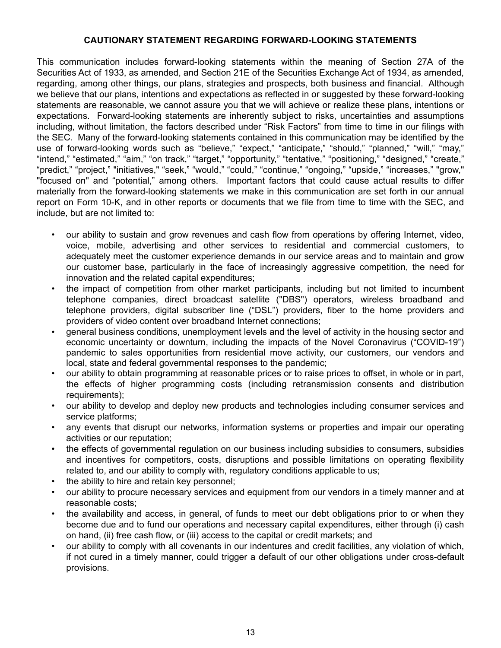# **CAUTIONARY STATEMENT REGARDING FORWARD-LOOKING STATEMENTS**

This communication includes forward-looking statements within the meaning of Section 27A of the Securities Act of 1933, as amended, and Section 21E of the Securities Exchange Act of 1934, as amended, regarding, among other things, our plans, strategies and prospects, both business and financial. Although we believe that our plans, intentions and expectations as reflected in or suggested by these forward-looking statements are reasonable, we cannot assure you that we will achieve or realize these plans, intentions or expectations. Forward-looking statements are inherently subject to risks, uncertainties and assumptions including, without limitation, the factors described under "Risk Factors" from time to time in our filings with the SEC. Many of the forward-looking statements contained in this communication may be identified by the use of forward-looking words such as "believe," "expect," "anticipate," "should," "planned," "will," "may," "intend," "estimated," "aim," "on track," "target," "opportunity," "tentative," "positioning," "designed," "create," "predict," "project," "initiatives," "seek," "would," "could," "continue," "ongoing," "upside," "increases," "grow," "focused on" and "potential," among others. Important factors that could cause actual results to differ materially from the forward-looking statements we make in this communication are set forth in our annual report on Form 10-K, and in other reports or documents that we file from time to time with the SEC, and include, but are not limited to:

- our ability to sustain and grow revenues and cash flow from operations by offering Internet, video, voice, mobile, advertising and other services to residential and commercial customers, to adequately meet the customer experience demands in our service areas and to maintain and grow our customer base, particularly in the face of increasingly aggressive competition, the need for innovation and the related capital expenditures;
- the impact of competition from other market participants, including but not limited to incumbent telephone companies, direct broadcast satellite ("DBS") operators, wireless broadband and telephone providers, digital subscriber line ("DSL") providers, fiber to the home providers and providers of video content over broadband Internet connections;
- general business conditions, unemployment levels and the level of activity in the housing sector and economic uncertainty or downturn, including the impacts of the Novel Coronavirus ("COVID-19") pandemic to sales opportunities from residential move activity, our customers, our vendors and local, state and federal governmental responses to the pandemic;
- our ability to obtain programming at reasonable prices or to raise prices to offset, in whole or in part, the effects of higher programming costs (including retransmission consents and distribution requirements);
- our ability to develop and deploy new products and technologies including consumer services and service platforms;
- any events that disrupt our networks, information systems or properties and impair our operating activities or our reputation;
- the effects of governmental regulation on our business including subsidies to consumers, subsidies and incentives for competitors, costs, disruptions and possible limitations on operating flexibility related to, and our ability to comply with, regulatory conditions applicable to us;
- the ability to hire and retain key personnel;
- our ability to procure necessary services and equipment from our vendors in a timely manner and at reasonable costs;
- the availability and access, in general, of funds to meet our debt obligations prior to or when they become due and to fund our operations and necessary capital expenditures, either through (i) cash on hand, (ii) free cash flow, or (iii) access to the capital or credit markets; and
- our ability to comply with all covenants in our indentures and credit facilities, any violation of which, if not cured in a timely manner, could trigger a default of our other obligations under cross-default provisions.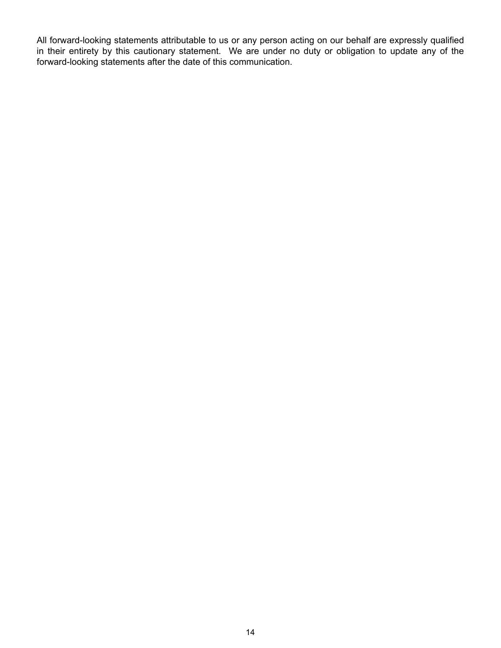All forward-looking statements attributable to us or any person acting on our behalf are expressly qualified in their entirety by this cautionary statement. We are under no duty or obligation to update any of the forward-looking statements after the date of this communication.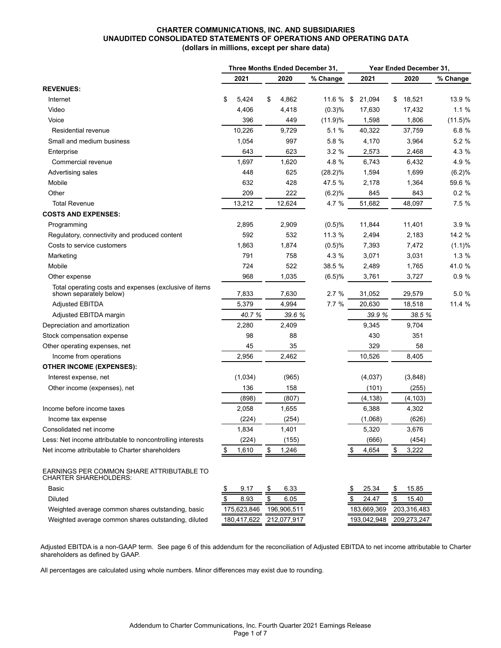#### **CHARTER COMMUNICATIONS, INC. AND SUBSIDIARIES UNAUDITED CONSOLIDATED STATEMENTS OF OPERATIONS AND OPERATING DATA (dollars in millions, except per share data)**

|                                                                                   | Three Months Ended December 31, |             |    | Year Ended December 31, |             |             |              |            |
|-----------------------------------------------------------------------------------|---------------------------------|-------------|----|-------------------------|-------------|-------------|--------------|------------|
|                                                                                   |                                 | 2021        |    | 2020                    | % Change    | 2021        | 2020         | % Change   |
| <b>REVENUES:</b>                                                                  |                                 |             |    |                         |             |             |              |            |
| Internet                                                                          | \$                              | 5,424       | \$ | 4,862                   | 11.6 $%$ \$ | 21,094      | 18,521<br>\$ | 13.9 %     |
| Video                                                                             |                                 | 4,406       |    | 4,418                   | (0.3)%      | 17,630      | 17,432       | 1.1%       |
| Voice                                                                             |                                 | 396         |    | 449                     | (11.9)%     | 1,598       | 1,806        | $(11.5)\%$ |
| Residential revenue                                                               |                                 | 10,226      |    | 9,729                   | 5.1 %       | 40,322      | 37,759       | 6.8 %      |
| Small and medium business                                                         |                                 | 1,054       |    | 997                     | 5.8 %       | 4,170       | 3,964        | 5.2 %      |
| Enterprise                                                                        |                                 | 643         |    | 623                     | 3.2%        | 2,573       | 2,468        | 4.3 %      |
| Commercial revenue                                                                |                                 | 1,697       |    | 1,620                   | 4.8 %       | 6,743       | 6,432        | 4.9%       |
| Advertising sales                                                                 |                                 | 448         |    | 625                     | $(28.2)\%$  | 1,594       | 1,699        | (6.2)%     |
| Mobile                                                                            |                                 | 632         |    | 428                     | 47.5 %      | 2,178       | 1,364        | 59.6 %     |
| Other                                                                             |                                 | 209         |    | 222                     | (6.2)%      | 845         | 843          | 0.2%       |
| <b>Total Revenue</b>                                                              |                                 | 13,212      |    | 12,624                  | 4.7 %       | 51,682      | 48,097       | 7.5 %      |
| <b>COSTS AND EXPENSES:</b>                                                        |                                 |             |    |                         |             |             |              |            |
| Programming                                                                       |                                 | 2,895       |    | 2,909                   | (0.5)%      | 11,844      | 11,401       | 3.9 %      |
| Regulatory, connectivity and produced content                                     |                                 | 592         |    | 532                     | 11.3 %      | 2,494       | 2,183        | 14.2 %     |
| Costs to service customers                                                        |                                 | 1,863       |    | 1,874                   | (0.5)%      | 7,393       | 7,472        | (1.1)%     |
| Marketing                                                                         |                                 | 791         |    | 758                     | 4.3 %       | 3,071       | 3,031        | 1.3%       |
| Mobile                                                                            |                                 | 724         |    | 522                     | 38.5 %      | 2,489       | 1,765        | 41.0 %     |
| Other expense                                                                     |                                 | 968         |    | 1,035                   | (6.5)%      | 3,761       | 3,727        | 0.9%       |
| Total operating costs and expenses (exclusive of items<br>shown separately below) |                                 | 7,833       |    | 7,630                   | 2.7%        | 31,052      | 29,579       | 5.0 %      |
| <b>Adjusted EBITDA</b>                                                            |                                 | 5,379       |    | 4,994                   | 7.7%        | 20,630      | 18,518       | 11.4 %     |
| Adjusted EBITDA margin                                                            |                                 | 40.7%       |    | 39.6 %                  |             | 39.9 %      | 38.5 %       |            |
| Depreciation and amortization                                                     |                                 | 2,280       |    | 2,409                   |             | 9,345       | 9,704        |            |
| Stock compensation expense                                                        |                                 | 98          |    | 88                      |             | 430         | 351          |            |
| Other operating expenses, net                                                     |                                 | 45          |    | 35                      |             | 329         | 58           |            |
| Income from operations                                                            |                                 | 2,956       |    | 2,462                   |             | 10,526      | 8,405        |            |
| <b>OTHER INCOME (EXPENSES):</b>                                                   |                                 |             |    |                         |             |             |              |            |
| Interest expense, net                                                             |                                 | (1,034)     |    | (965)                   |             | (4,037)     | (3,848)      |            |
| Other income (expenses), net                                                      |                                 | 136         |    | 158                     |             | (101)       | (255)        |            |
|                                                                                   |                                 | (898)       |    | (807)                   |             | (4, 138)    | (4, 103)     |            |
| Income before income taxes                                                        |                                 | 2,058       |    | 1,655                   |             | 6,388       | 4,302        |            |
| Income tax expense                                                                |                                 | (224)       |    | (254)                   |             | (1,068)     | (626)        |            |
| Consolidated net income                                                           |                                 | 1,834       |    | 1,401                   |             | 5,320       | 3,676        |            |
| Less: Net income attributable to noncontrolling interests                         |                                 | (224)       |    | (155)                   |             | (666)       | (454)        |            |
| Net income attributable to Charter shareholders                                   |                                 | 1,610       | \$ | 1,246                   |             | 4,654       | 3,222<br>\$  |            |
| EARNINGS PER COMMON SHARE ATTRIBUTABLE TO<br><b>CHARTER SHAREHOLDERS:</b>         |                                 |             |    |                         |             |             |              |            |
| Basic                                                                             |                                 | 9.17        | \$ | 6.33                    |             | 25.34       | 15.85<br>S   |            |
| <b>Diluted</b>                                                                    | \$                              | 8.93        | \$ | 6.05                    |             | 24.47       | \$<br>15.40  |            |
| Weighted average common shares outstanding, basic                                 |                                 | 175,623,846 |    | 196,906,511             |             | 183,669,369 | 203,316,483  |            |
| Weighted average common shares outstanding, diluted                               |                                 | 180,417,622 |    | 212,077,917             |             | 193,042,948 | 209,273,247  |            |

Adjusted EBITDA is a non-GAAP term. See page 6 of this addendum for the reconciliation of Adjusted EBITDA to net income attributable to Charter shareholders as defined by GAAP.

All percentages are calculated using whole numbers. Minor differences may exist due to rounding.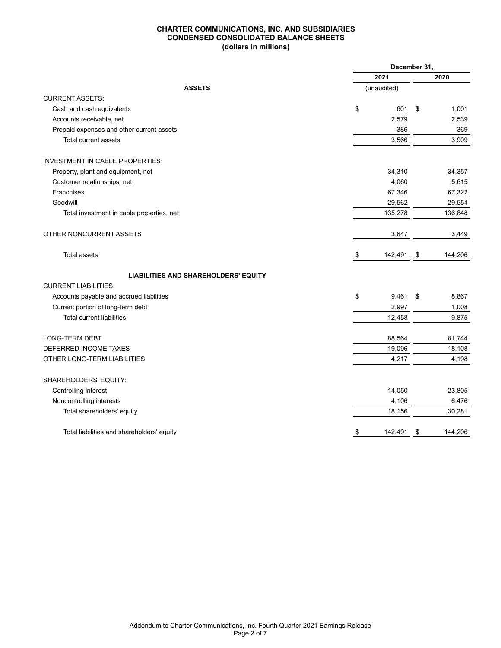#### **CHARTER COMMUNICATIONS, INC. AND SUBSIDIARIES CONDENSED CONSOLIDATED BALANCE SHEETS (dollars in millions)**

|                                             | December 31, |             |    |         |  |  |  |  |
|---------------------------------------------|--------------|-------------|----|---------|--|--|--|--|
|                                             |              | 2021        |    | 2020    |  |  |  |  |
| <b>ASSETS</b>                               |              | (unaudited) |    |         |  |  |  |  |
| <b>CURRENT ASSETS:</b>                      |              |             |    |         |  |  |  |  |
| Cash and cash equivalents                   | \$           | 601         | \$ | 1,001   |  |  |  |  |
| Accounts receivable, net                    |              | 2,579       |    | 2,539   |  |  |  |  |
| Prepaid expenses and other current assets   |              | 386         |    | 369     |  |  |  |  |
| Total current assets                        |              | 3,566       |    | 3,909   |  |  |  |  |
| <b>INVESTMENT IN CABLE PROPERTIES:</b>      |              |             |    |         |  |  |  |  |
| Property, plant and equipment, net          |              | 34,310      |    | 34,357  |  |  |  |  |
| Customer relationships, net                 |              | 4,060       |    | 5,615   |  |  |  |  |
| Franchises                                  |              | 67,346      |    | 67,322  |  |  |  |  |
| Goodwill                                    |              | 29,562      |    | 29,554  |  |  |  |  |
| Total investment in cable properties, net   |              | 135,278     |    | 136,848 |  |  |  |  |
| OTHER NONCURRENT ASSETS                     |              | 3,647       |    | 3,449   |  |  |  |  |
| <b>Total assets</b>                         | \$           | 142,491     | \$ | 144,206 |  |  |  |  |
| <b>LIABILITIES AND SHAREHOLDERS' EQUITY</b> |              |             |    |         |  |  |  |  |
| <b>CURRENT LIABILITIES:</b>                 |              |             |    |         |  |  |  |  |
| Accounts payable and accrued liabilities    | \$           | 9,461       | \$ | 8,867   |  |  |  |  |
| Current portion of long-term debt           |              | 2,997       |    | 1,008   |  |  |  |  |
| <b>Total current liabilities</b>            |              | 12,458      |    | 9,875   |  |  |  |  |
| <b>LONG-TERM DEBT</b>                       |              | 88,564      |    | 81,744  |  |  |  |  |
| DEFERRED INCOME TAXES                       |              | 19,096      |    | 18,108  |  |  |  |  |
| OTHER LONG-TERM LIABILITIES                 |              | 4,217       |    | 4,198   |  |  |  |  |
| SHAREHOLDERS' EQUITY:                       |              |             |    |         |  |  |  |  |
| Controlling interest                        |              | 14,050      |    | 23,805  |  |  |  |  |
| Noncontrolling interests                    |              | 4,106       |    | 6,476   |  |  |  |  |
| Total shareholders' equity                  |              | 18,156      |    | 30,281  |  |  |  |  |
| Total liabilities and shareholders' equity  |              | 142,491     | \$ | 144,206 |  |  |  |  |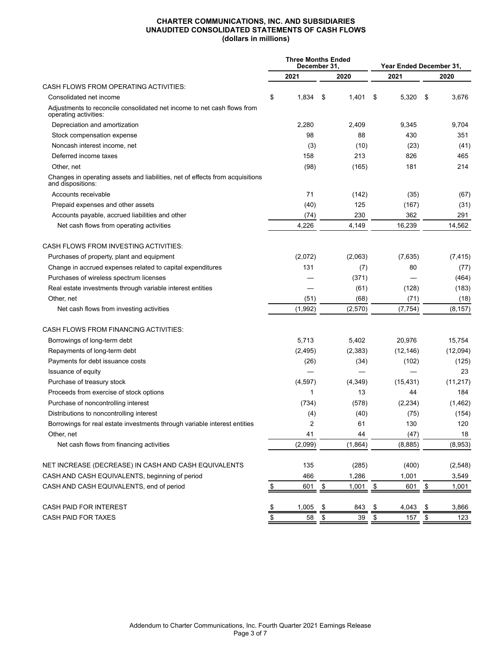#### **CHARTER COMMUNICATIONS, INC. AND SUBSIDIARIES UNAUDITED CONSOLIDATED STATEMENTS OF CASH FLOWS (dollars in millions)**

|                                                                                                    |               | <b>Three Months Ended</b><br>December 31. |      |          | Year Ended December 31, |           |    |           |
|----------------------------------------------------------------------------------------------------|---------------|-------------------------------------------|------|----------|-------------------------|-----------|----|-----------|
|                                                                                                    |               | 2021                                      |      | 2020     |                         | 2021      |    | 2020      |
| CASH FLOWS FROM OPERATING ACTIVITIES:                                                              |               |                                           |      |          |                         |           |    |           |
| Consolidated net income                                                                            | \$            | 1,834                                     | \$   | 1,401    | \$                      | 5,320     | \$ | 3,676     |
| Adjustments to reconcile consolidated net income to net cash flows from<br>operating activities:   |               |                                           |      |          |                         |           |    |           |
| Depreciation and amortization                                                                      |               | 2,280                                     |      | 2,409    |                         | 9,345     |    | 9,704     |
| Stock compensation expense                                                                         |               | 98                                        |      | 88       |                         | 430       |    | 351       |
| Noncash interest income, net                                                                       |               | (3)                                       |      | (10)     |                         | (23)      |    | (41)      |
| Deferred income taxes                                                                              |               | 158                                       |      | 213      |                         | 826       |    | 465       |
| Other, net                                                                                         |               | (98)                                      |      | (165)    |                         | 181       |    | 214       |
| Changes in operating assets and liabilities, net of effects from acquisitions<br>and dispositions: |               |                                           |      |          |                         |           |    |           |
| Accounts receivable                                                                                |               | 71                                        |      | (142)    |                         | (35)      |    | (67)      |
| Prepaid expenses and other assets                                                                  |               | (40)                                      |      | 125      |                         | (167)     |    | (31)      |
| Accounts payable, accrued liabilities and other                                                    |               | (74)                                      |      | 230      |                         | 362       |    | 291       |
| Net cash flows from operating activities                                                           |               | 4,226                                     |      | 4,149    |                         | 16,239    |    | 14.562    |
| CASH FLOWS FROM INVESTING ACTIVITIES:                                                              |               |                                           |      |          |                         |           |    |           |
| Purchases of property, plant and equipment                                                         |               | (2,072)                                   |      | (2,063)  |                         | (7,635)   |    | (7, 415)  |
| Change in accrued expenses related to capital expenditures                                         |               | 131                                       |      | (7)      |                         | 80        |    | (77)      |
| Purchases of wireless spectrum licenses                                                            |               |                                           |      | (371)    |                         |           |    | (464)     |
| Real estate investments through variable interest entities                                         |               |                                           |      | (61)     |                         | (128)     |    | (183)     |
| Other, net                                                                                         |               | (51)                                      |      | (68)     |                         | (71)      |    | (18)      |
| Net cash flows from investing activities                                                           |               | (1,992)                                   |      | (2,570)  |                         | (7, 754)  |    | (8, 157)  |
| CASH FLOWS FROM FINANCING ACTIVITIES:                                                              |               |                                           |      |          |                         |           |    |           |
| Borrowings of long-term debt                                                                       |               | 5,713                                     |      | 5,402    |                         | 20,976    |    | 15,754    |
| Repayments of long-term debt                                                                       |               | (2, 495)                                  |      | (2, 383) |                         | (12, 146) |    | (12,094)  |
| Payments for debt issuance costs                                                                   |               | (26)                                      |      | (34)     |                         | (102)     |    | (125)     |
| Issuance of equity                                                                                 |               |                                           |      |          |                         |           |    | 23        |
| Purchase of treasury stock                                                                         |               | (4, 597)                                  |      | (4,349)  |                         | (15, 431) |    | (11, 217) |
| Proceeds from exercise of stock options                                                            |               | 1                                         |      | 13       |                         | 44        |    | 184       |
| Purchase of noncontrolling interest                                                                |               | (734)                                     |      | (578)    |                         | (2, 234)  |    | (1, 462)  |
| Distributions to noncontrolling interest                                                           |               | (4)                                       |      | (40)     |                         | (75)      |    | (154)     |
| Borrowings for real estate investments through variable interest entities                          |               | 2                                         |      | 61       |                         | 130       |    | 120       |
| Other, net                                                                                         |               | 41                                        |      | 44       |                         | (47)      |    | 18        |
| Net cash flows from financing activities                                                           |               | (2,099)                                   |      | (1,864)  |                         | (8,885)   |    | (8,953)   |
| NET INCREASE (DECREASE) IN CASH AND CASH EQUIVALENTS                                               |               | 135                                       |      | (285)    |                         | (400)     |    | (2, 548)  |
| CASH AND CASH EQUIVALENTS, beginning of period                                                     |               | 466                                       |      | 1,286    |                         | 1,001     |    | 3,549     |
| CASH AND CASH EQUIVALENTS, end of period                                                           | \$            | 601                                       | $\,$ | 1,001    | $\frac{1}{2}$           | 601       | \$ | 1,001     |
| CASH PAID FOR INTEREST                                                                             | $\frac{3}{2}$ | 1,005                                     | \$   | 843      | \$                      | 4,043     | \$ | 3,866     |
| CASH PAID FOR TAXES                                                                                | $\sqrt[6]{3}$ | 58                                        | \$   | 39       | \$                      | 157       | \$ | 123       |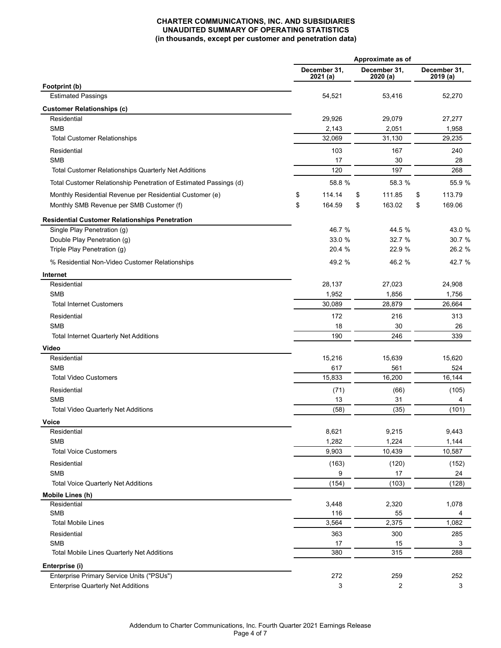### **CHARTER COMMUNICATIONS, INC. AND SUBSIDIARIES UNAUDITED SUMMARY OF OPERATING STATISTICS (in thousands, except per customer and penetration data)**

|                                                                   | Approximate as of       |    |                          |    |                          |  |
|-------------------------------------------------------------------|-------------------------|----|--------------------------|----|--------------------------|--|
|                                                                   | December 31,<br>2021(a) |    | December 31,<br>2020 (a) |    | December 31,<br>2019 (a) |  |
| Footprint (b)                                                     |                         |    |                          |    |                          |  |
| <b>Estimated Passings</b>                                         | 54,521                  |    | 53,416                   |    | 52,270                   |  |
| <b>Customer Relationships (c)</b>                                 |                         |    |                          |    |                          |  |
| Residential                                                       | 29,926                  |    | 29,079                   |    | 27,277                   |  |
| <b>SMB</b><br><b>Total Customer Relationships</b>                 | 2,143<br>32,069         |    | 2,051<br>31,130          |    | 1,958<br>29,235          |  |
|                                                                   |                         |    |                          |    |                          |  |
| Residential<br><b>SMB</b>                                         | 103                     |    | 167                      |    | 240                      |  |
| Total Customer Relationships Quarterly Net Additions              | 17<br>120               |    | 30<br>197                |    | 28<br>268                |  |
|                                                                   |                         |    |                          |    |                          |  |
| Total Customer Relationship Penetration of Estimated Passings (d) | 58.8 %                  |    | 58.3 %                   |    | 55.9 %                   |  |
| Monthly Residential Revenue per Residential Customer (e)          | \$<br>114.14            | \$ | 111.85                   | \$ | 113.79                   |  |
| Monthly SMB Revenue per SMB Customer (f)                          | \$<br>164.59            | \$ | 163.02                   | \$ | 169.06                   |  |
| <b>Residential Customer Relationships Penetration</b>             |                         |    |                          |    |                          |  |
| Single Play Penetration (g)                                       | 46.7 %                  |    | 44.5 %                   |    | 43.0 %                   |  |
| Double Play Penetration (g)                                       | 33.0 %                  |    | 32.7 %                   |    | 30.7 %                   |  |
| Triple Play Penetration (g)                                       | 20.4 %                  |    | 22.9 %                   |    | 26.2 %                   |  |
| % Residential Non-Video Customer Relationships                    | 49.2 %                  |    | 46.2 %                   |    | 42.7 %                   |  |
| Internet                                                          |                         |    |                          |    |                          |  |
| Residential                                                       | 28,137                  |    | 27,023                   |    | 24,908                   |  |
| <b>SMB</b>                                                        | 1,952                   |    | 1,856                    |    | 1,756                    |  |
| <b>Total Internet Customers</b>                                   | 30,089                  |    | 28,879                   |    | 26,664                   |  |
| Residential                                                       | 172                     |    | 216                      |    | 313                      |  |
| <b>SMB</b>                                                        | 18                      | 30 |                          |    | 26                       |  |
| <b>Total Internet Quarterly Net Additions</b>                     | 190                     |    | 246                      |    | 339                      |  |
| Video                                                             |                         |    |                          |    |                          |  |
| Residential                                                       | 15,216                  |    | 15,639                   |    | 15,620                   |  |
| <b>SMB</b>                                                        | 617                     |    | 561                      |    | 524                      |  |
| <b>Total Video Customers</b>                                      | 15,833                  |    | 16,200                   |    | 16,144                   |  |
| Residential                                                       | (71)                    |    | (66)                     |    | (105)                    |  |
| <b>SMB</b>                                                        | 13                      |    | 31                       |    | 4                        |  |
| <b>Total Video Quarterly Net Additions</b>                        | (58)                    |    | (35)                     |    | (101)                    |  |
| Voice                                                             |                         |    |                          |    |                          |  |
| Residential                                                       | 8,621                   |    | 9,215                    |    | 9,443                    |  |
| <b>SMB</b>                                                        | 1,282                   |    | 1,224                    |    | 1,144                    |  |
| <b>Total Voice Customers</b>                                      | 9,903                   |    | 10,439                   |    | 10,587                   |  |
| Residential                                                       | (163)                   |    | (120)                    |    | (152)                    |  |
| <b>SMB</b>                                                        | 9                       |    | 17                       |    | 24                       |  |
| <b>Total Voice Quarterly Net Additions</b>                        | (154)                   |    | (103)                    |    | (128)                    |  |
| Mobile Lines (h)                                                  |                         |    |                          |    |                          |  |
| Residential                                                       | 3,448                   |    | 2,320                    |    | 1,078                    |  |
| <b>SMB</b><br><b>Total Mobile Lines</b>                           | 116<br>3,564            |    | 55<br>2,375              |    | 4<br>1,082               |  |
| Residential                                                       |                         |    |                          |    |                          |  |
| <b>SMB</b>                                                        | 363<br>17               |    | 300<br>15                |    | 285<br>3                 |  |
| Total Mobile Lines Quarterly Net Additions                        | 380                     |    | $\overline{3}15$         |    | 288                      |  |
| Enterprise (i)                                                    |                         |    |                          |    |                          |  |
| Enterprise Primary Service Units ("PSUs")                         | 272                     |    | 259                      |    | 252                      |  |
| <b>Enterprise Quarterly Net Additions</b>                         | 3                       |    | 2                        |    | 3                        |  |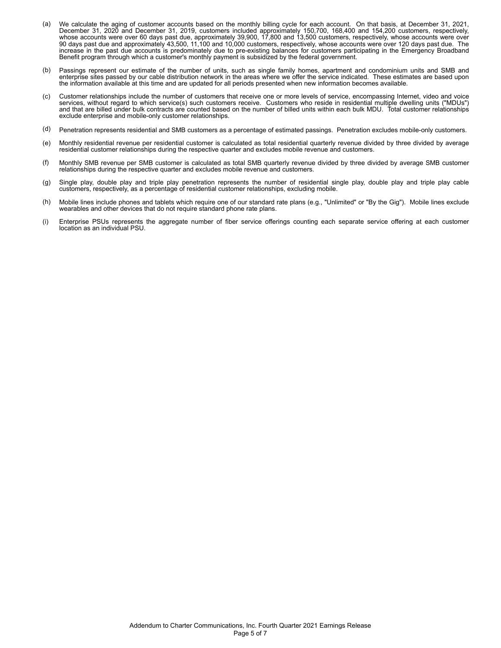- (a) We calculate the aging of customer accounts based on the monthly billing cycle for each account. On that basis, at December 31, 2021, December 31, 2020 and December 31, 2019, customers included approximately 150,700, 168,400 and 154,200 customers, respectively, whose accounts were over 60 days past due, approximately 39,900, 17,800 and 13,500 customers, respectively, whose accounts were over 90 days past due and approximately 43,500, 11,100 and 10,000 customers, respectively, whose accounts were over 120 days past due. The increase in the past due accounts is predominately due to pre-existing balances for customers participating in the Emergency Broadband Benefit program through which a customer's monthly payment is subsidized by the federal government.
- (b) Passings represent our estimate of the number of units, such as single family homes, apartment and condominium units and SMB and enterprise sites passed by our cable distribution network in the areas where we offer the service indicated. These estimates are based upon the information available at this time and are updated for all periods presented when new information becomes available.
- (c) Customer relationships include the number of customers that receive one or more levels of service, encompassing Internet, video and voice services, without regard to which service(s) such customers receive. Customers who reside in residential multiple dwelling units ("MDUs") and that are billed under bulk contracts are counted based on the number of billed units within each bulk MDU. Total customer relationships exclude enterprise and mobile-only customer relationships.
- (d) Penetration represents residential and SMB customers as a percentage of estimated passings. Penetration excludes mobile-only customers.
- (e) Monthly residential revenue per residential customer is calculated as total residential quarterly revenue divided by three divided by average residential customer relationships during the respective quarter and excludes mobile revenue and customers.
- (f) Monthly SMB revenue per SMB customer is calculated as total SMB quarterly revenue divided by three divided by average SMB customer relationships during the respective quarter and excludes mobile revenue and customers.
- (g) Single play, double play and triple play penetration represents the number of residential single play, double play and triple play cable customers, respectively, as a percentage of residential customer relationships, excluding mobile.
- (h) Mobile lines include phones and tablets which require one of our standard rate plans (e.g., "Unlimited" or "By the Gig"). Mobile lines exclude wearables and other devices that do not require standard phone rate plans.
- (i) Enterprise PSUs represents the aggregate number of fiber service offerings counting each separate service offering at each customer location as an individual PSU.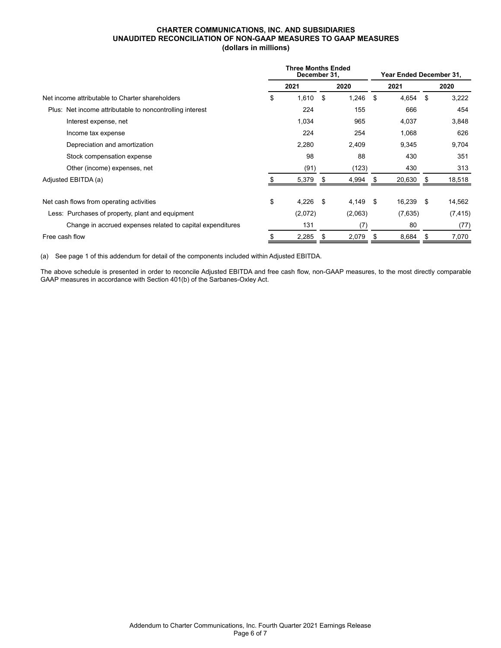#### **CHARTER COMMUNICATIONS, INC. AND SUBSIDIARIES UNAUDITED RECONCILIATION OF NON-GAAP MEASURES TO GAAP MEASURES (dollars in millions)**

|                                                            | <b>Three Months Ended</b><br>December 31, |         |      |         | Year Ended December 31, |         |      |          |  |
|------------------------------------------------------------|-------------------------------------------|---------|------|---------|-------------------------|---------|------|----------|--|
|                                                            |                                           | 2021    |      | 2020    |                         | 2021    |      | 2020     |  |
| Net income attributable to Charter shareholders            | \$                                        | 1,610   | -\$  | 1,246   | \$                      | 4,654   | - \$ | 3,222    |  |
| Plus: Net income attributable to noncontrolling interest   |                                           | 224     |      | 155     |                         | 666     |      | 454      |  |
| Interest expense, net                                      |                                           | 1,034   |      | 965     |                         | 4,037   |      | 3,848    |  |
| Income tax expense                                         |                                           | 224     |      | 254     |                         | 1,068   |      | 626      |  |
| Depreciation and amortization                              |                                           | 2,280   |      | 2,409   |                         | 9,345   |      | 9,704    |  |
| Stock compensation expense                                 |                                           | 98      |      | 88      |                         | 430     |      | 351      |  |
| Other (income) expenses, net                               |                                           | (91)    |      | (123)   |                         | 430     |      | 313      |  |
| Adjusted EBITDA (a)                                        |                                           | 5,379   | \$   | 4,994   |                         | 20,630  |      | 18,518   |  |
| Net cash flows from operating activities                   | \$                                        | 4,226   | - \$ | 4,149   | -\$                     | 16,239  | - \$ | 14,562   |  |
| Less: Purchases of property, plant and equipment           |                                           | (2,072) |      | (2,063) |                         | (7,635) |      | (7, 415) |  |
| Change in accrued expenses related to capital expenditures |                                           | 131     |      | (7)     |                         | 80      |      | (77)     |  |
| Free cash flow                                             | \$                                        | 2,285   | S    | 2,079   | \$                      | 8,684   | S.   | 7,070    |  |

(a) See page 1 of this addendum for detail of the components included within Adjusted EBITDA.

The above schedule is presented in order to reconcile Adjusted EBITDA and free cash flow, non-GAAP measures, to the most directly comparable GAAP measures in accordance with Section 401(b) of the Sarbanes-Oxley Act.